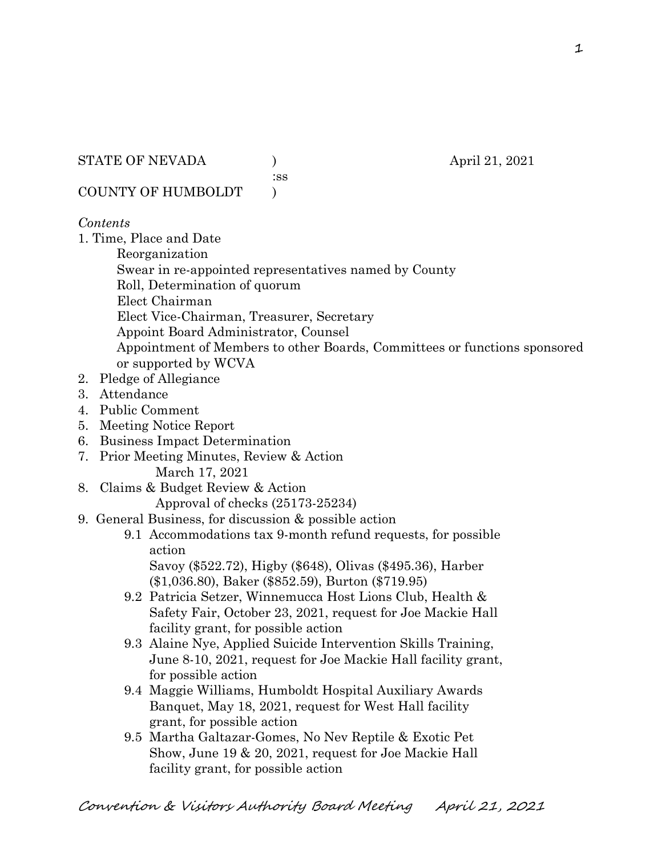STATE OF NEVADA (a) (b) april 21, 2021

:ss

COUNTY OF HUMBOLDT )

#### *Contents*

1. Time, Place and Date

Reorganization

Swear in re-appointed representatives named by County

Roll, Determination of quorum

Elect Chairman

Elect Vice-Chairman, Treasurer, Secretary

Appoint Board Administrator, Counsel

Appointment of Members to other Boards, Committees or functions sponsored or supported by WCVA

- 2. Pledge of Allegiance
- 3. Attendance
- 4. Public Comment
- 5. Meeting Notice Report
- 6. Business Impact Determination
- 7. Prior Meeting Minutes, Review & Action March 17, 2021
- 8. Claims & Budget Review & Action

Approval of checks (25173-25234)

- 9. General Business, for discussion & possible action
	- 9.1 Accommodations tax 9-month refund requests, for possible action

 Savoy (\$522.72), Higby (\$648), Olivas (\$495.36), Harber (\$1,036.80), Baker (\$852.59), Burton (\$719.95)

- 9.2 Patricia Setzer, Winnemucca Host Lions Club, Health & Safety Fair, October 23, 2021, request for Joe Mackie Hall facility grant, for possible action
- 9.3 Alaine Nye, Applied Suicide Intervention Skills Training, June 8-10, 2021, request for Joe Mackie Hall facility grant, for possible action
- 9.4 Maggie Williams, Humboldt Hospital Auxiliary Awards Banquet, May 18, 2021, request for West Hall facility grant, for possible action
- 9.5 Martha Galtazar-Gomes, No Nev Reptile & Exotic Pet Show, June 19 & 20, 2021, request for Joe Mackie Hall facility grant, for possible action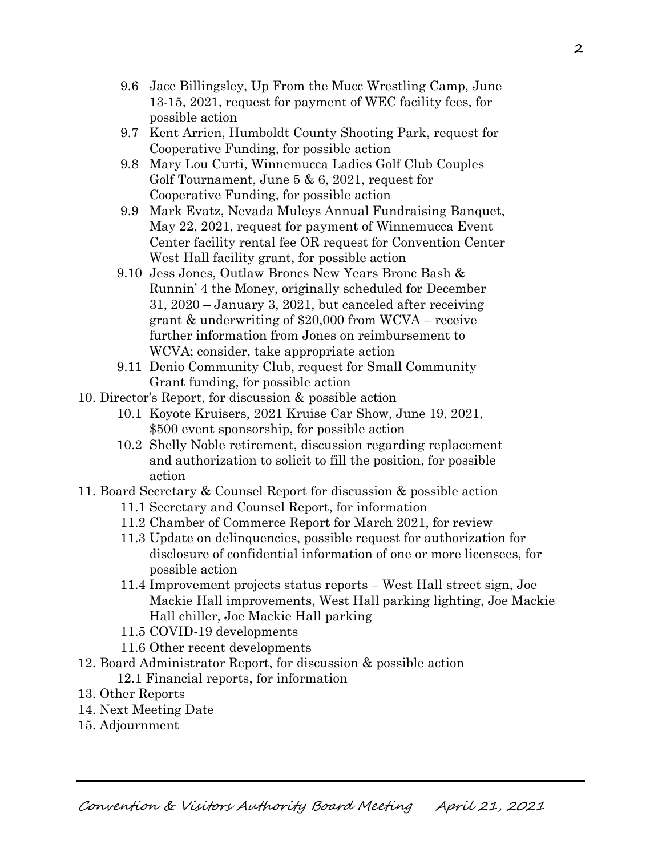- 9.6 Jace Billingsley, Up From the Mucc Wrestling Camp, June 13-15, 2021, request for payment of WEC facility fees, for possible action
- 9.7 Kent Arrien, Humboldt County Shooting Park, request for Cooperative Funding, for possible action
- 9.8 Mary Lou Curti, Winnemucca Ladies Golf Club Couples Golf Tournament, June 5 & 6, 2021, request for Cooperative Funding, for possible action
- 9.9 Mark Evatz, Nevada Muleys Annual Fundraising Banquet, May 22, 2021, request for payment of Winnemucca Event Center facility rental fee OR request for Convention Center West Hall facility grant, for possible action
- 9.10 Jess Jones, Outlaw Broncs New Years Bronc Bash & Runnin' 4 the Money, originally scheduled for December 31, 2020 – January 3, 2021, but canceled after receiving grant & underwriting of \$20,000 from WCVA – receive further information from Jones on reimbursement to WCVA; consider, take appropriate action
- 9.11 Denio Community Club, request for Small Community Grant funding, for possible action
- 10. Director's Report, for discussion & possible action
	- 10.1 Koyote Kruisers, 2021 Kruise Car Show, June 19, 2021, \$500 event sponsorship, for possible action
	- 10.2 Shelly Noble retirement, discussion regarding replacement and authorization to solicit to fill the position, for possible action
- 11. Board Secretary & Counsel Report for discussion & possible action
	- 11.1 Secretary and Counsel Report, for information
	- 11.2 Chamber of Commerce Report for March 2021, for review
	- 11.3 Update on delinquencies, possible request for authorization for disclosure of confidential information of one or more licensees, for possible action
	- 11.4 Improvement projects status reports West Hall street sign, Joe Mackie Hall improvements, West Hall parking lighting, Joe Mackie Hall chiller, Joe Mackie Hall parking
	- 11.5 COVID-19 developments
	- 11.6 Other recent developments
- 12. Board Administrator Report, for discussion & possible action
	- 12.1 Financial reports, for information
- 13. Other Reports
- 14. Next Meeting Date
- 15. Adjournment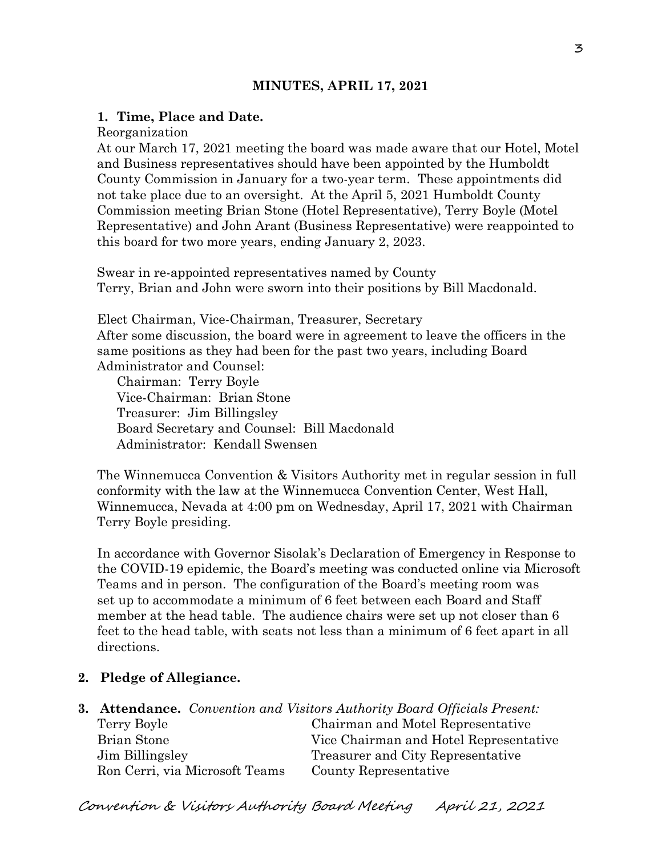# **MINUTES, APRIL 17, 2021**

### **1. Time, Place and Date.**

Reorganization

At our March 17, 2021 meeting the board was made aware that our Hotel, Motel and Business representatives should have been appointed by the Humboldt County Commission in January for a two-year term. These appointments did not take place due to an oversight. At the April 5, 2021 Humboldt County Commission meeting Brian Stone (Hotel Representative), Terry Boyle (Motel Representative) and John Arant (Business Representative) were reappointed to this board for two more years, ending January 2, 2023.

Swear in re-appointed representatives named by County Terry, Brian and John were sworn into their positions by Bill Macdonald.

Elect Chairman, Vice-Chairman, Treasurer, Secretary After some discussion, the board were in agreement to leave the officers in the same positions as they had been for the past two years, including Board Administrator and Counsel:

Chairman: Terry Boyle Vice-Chairman: Brian Stone Treasurer: Jim Billingsley Board Secretary and Counsel: Bill Macdonald Administrator: Kendall Swensen

The Winnemucca Convention & Visitors Authority met in regular session in full conformity with the law at the Winnemucca Convention Center, West Hall, Winnemucca, Nevada at 4:00 pm on Wednesday, April 17, 2021 with Chairman Terry Boyle presiding.

In accordance with Governor Sisolak's Declaration of Emergency in Response to the COVID-19 epidemic, the Board's meeting was conducted online via Microsoft Teams and in person. The configuration of the Board's meeting room was set up to accommodate a minimum of 6 feet between each Board and Staff member at the head table. The audience chairs were set up not closer than 6 feet to the head table, with seats not less than a minimum of 6 feet apart in all directions.

## **2. Pledge of Allegiance.**

|                 |                                | <b>3. Attendance.</b> Convention and Visitors Authority Board Officials Present: |
|-----------------|--------------------------------|----------------------------------------------------------------------------------|
| Terry Boyle     |                                | Chairman and Motel Representative                                                |
| Brian Stone     |                                | Vice Chairman and Hotel Representative                                           |
| Jim Billingsley |                                | Treasurer and City Representative                                                |
|                 | Ron Cerri, via Microsoft Teams | County Representative                                                            |

Convention & Visitors Authority Board Meeting April 21, 2021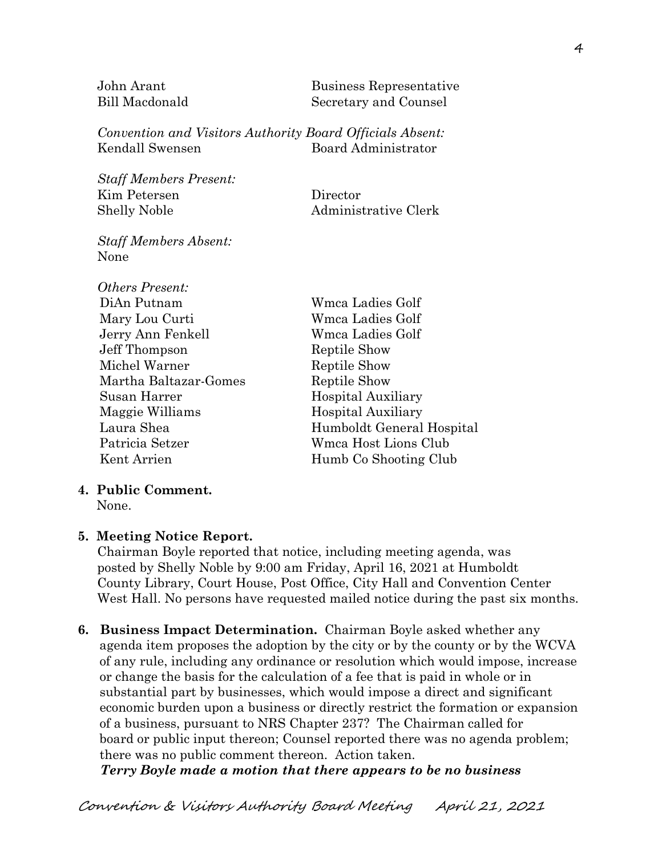John Arant Business Representative Bill Macdonald Secretary and Counsel

*Convention and Visitors Authority Board Officials Absent:* Kendall Swensen Board Administrator

*Staff Members Present:* Kim Petersen Director Shelly Noble Administrative Clerk

*Staff Members Absent:* None

| Others Present:       |                           |
|-----------------------|---------------------------|
| DiAn Putnam           | Wmca Ladies Golf          |
| Mary Lou Curti        | Wmca Ladies Golf          |
| Jerry Ann Fenkell     | Wmca Ladies Golf          |
| Jeff Thompson         | Reptile Show              |
| Michel Warner         | Reptile Show              |
| Martha Baltazar-Gomes | Reptile Show              |
| Susan Harrer          | <b>Hospital Auxiliary</b> |
| Maggie Williams       | <b>Hospital Auxiliary</b> |
| Laura Shea            | Humboldt General Hospital |
| Patricia Setzer       | Wmca Host Lions Club      |
| Kent Arrien           | Humb Co Shooting Club     |

#### **4. Public Comment.**

## **5. Meeting Notice Report.**

Chairman Boyle reported that notice, including meeting agenda, was posted by Shelly Noble by 9:00 am Friday, April 16, 2021 at Humboldt County Library, Court House, Post Office, City Hall and Convention Center West Hall. No persons have requested mailed notice during the past six months.

**6. Business Impact Determination.** Chairman Boyle asked whether any agenda item proposes the adoption by the city or by the county or by the WCVA of any rule, including any ordinance or resolution which would impose, increase or change the basis for the calculation of a fee that is paid in whole or in substantial part by businesses, which would impose a direct and significant economic burden upon a business or directly restrict the formation or expansion of a business, pursuant to NRS Chapter 237? The Chairman called for board or public input thereon; Counsel reported there was no agenda problem; there was no public comment thereon. Action taken.

 *Terry Boyle made a motion that there appears to be no business* 

None.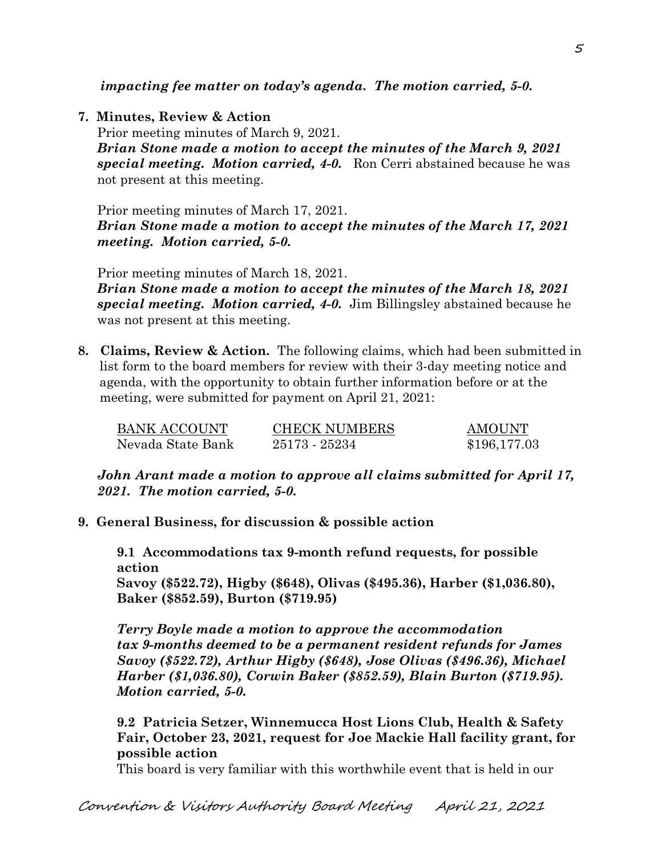*impacting fee matter on today's agenda. The motion carried, 5-0.*

**7. Minutes, Review & Action** 

Prior meeting minutes of March 9, 2021. *Brian Stone made a motion to accept the minutes of the March 9, 2021 special meeting. Motion carried, 4-0.* Ron Cerri abstained because he was not present at this meeting.

Prior meeting minutes of March 17, 2021. *Brian Stone made a motion to accept the minutes of the March 17, 2021 meeting. Motion carried, 5-0.*

Prior meeting minutes of March 18, 2021.

*Brian Stone made a motion to accept the minutes of the March 18, 2021 special meeting. Motion carried, 4-0.* Jim Billingsley abstained because he was not present at this meeting.

**8. Claims, Review & Action.** The following claims, which had been submitted in list form to the board members for review with their 3-day meeting notice and agenda, with the opportunity to obtain further information before or at the meeting, were submitted for payment on April 21, 2021:

| <b>BANK ACCOUNT</b> | <b>CHECK NUMBERS</b> | <b>AMOUNT</b> |
|---------------------|----------------------|---------------|
| Nevada State Bank   | 25173 - 25234        | \$196,177.03  |

*John Arant made a motion to approve all claims submitted for April 17, 2021. The motion carried, 5-0.*

**9. General Business, for discussion & possible action**

**9.1 Accommodations tax 9-month refund requests, for possible action Savoy (\$522.72), Higby (\$648), Olivas (\$495.36), Harber (\$1,036.80), Baker (\$852.59), Burton (\$719.95)**

*Terry Boyle made a motion to approve the accommodation tax 9-months deemed to be a permanent resident refunds for James Savoy (\$522.72), Arthur Higby (\$648), Jose Olivas (\$496.36), Michael Harber (\$1,036.80), Corwin Baker (\$852.59), Blain Burton (\$719.95). Motion carried, 5-0.* 

**9.2 Patricia Setzer, Winnemucca Host Lions Club, Health & Safety Fair, October 23, 2021, request for Joe Mackie Hall facility grant, for possible action**

This board is very familiar with this worthwhile event that is held in our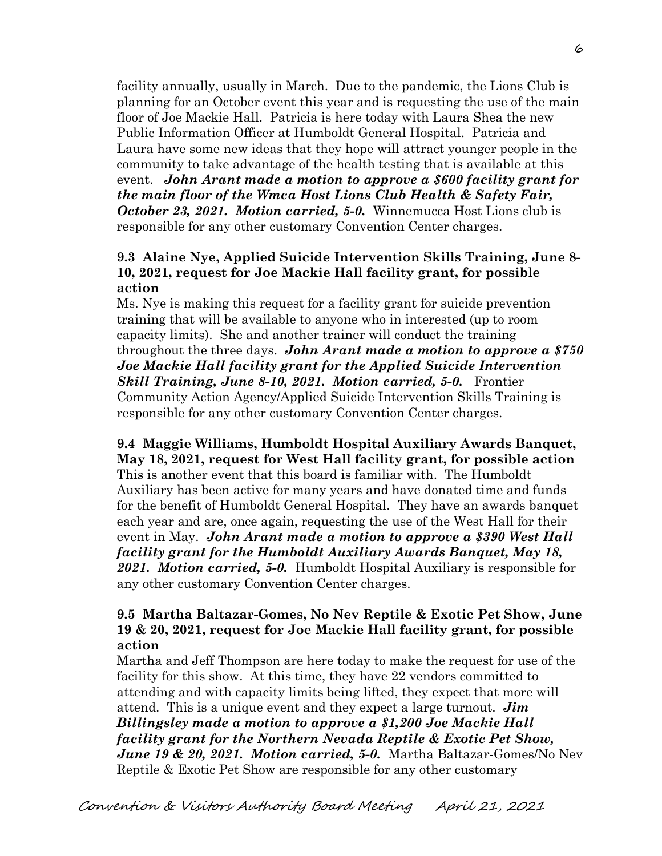facility annually, usually in March. Due to the pandemic, the Lions Club is planning for an October event this year and is requesting the use of the main floor of Joe Mackie Hall. Patricia is here today with Laura Shea the new Public Information Officer at Humboldt General Hospital. Patricia and Laura have some new ideas that they hope will attract younger people in the community to take advantage of the health testing that is available at this event. *John Arant made a motion to approve a \$600 facility grant for the main floor of the Wmca Host Lions Club Health & Safety Fair, October 23, 2021. Motion carried, 5-0.* Winnemucca Host Lions club is responsible for any other customary Convention Center charges.

## **9.3 Alaine Nye, Applied Suicide Intervention Skills Training, June 8- 10, 2021, request for Joe Mackie Hall facility grant, for possible action**

Ms. Nye is making this request for a facility grant for suicide prevention training that will be available to anyone who in interested (up to room capacity limits). She and another trainer will conduct the training throughout the three days. *John Arant made a motion to approve a \$750 Joe Mackie Hall facility grant for the Applied Suicide Intervention Skill Training, June 8-10, 2021. Motion carried, 5-0.* Frontier Community Action Agency/Applied Suicide Intervention Skills Training is responsible for any other customary Convention Center charges.

**9.4 Maggie Williams, Humboldt Hospital Auxiliary Awards Banquet, May 18, 2021, request for West Hall facility grant, for possible action** This is another event that this board is familiar with. The Humboldt Auxiliary has been active for many years and have donated time and funds for the benefit of Humboldt General Hospital. They have an awards banquet each year and are, once again, requesting the use of the West Hall for their event in May. *John Arant made a motion to approve a \$390 West Hall facility grant for the Humboldt Auxiliary Awards Banquet, May 18, 2021. Motion carried, 5-0.* Humboldt Hospital Auxiliary is responsible for any other customary Convention Center charges.

# **9.5 Martha Baltazar-Gomes, No Nev Reptile & Exotic Pet Show, June 19 & 20, 2021, request for Joe Mackie Hall facility grant, for possible action**

Martha and Jeff Thompson are here today to make the request for use of the facility for this show. At this time, they have 22 vendors committed to attending and with capacity limits being lifted, they expect that more will attend. This is a unique event and they expect a large turnout. *Jim Billingsley made a motion to approve a \$1,200 Joe Mackie Hall facility grant for the Northern Nevada Reptile & Exotic Pet Show, June 19 & 20, 2021. Motion carried, 5-0.* Martha Baltazar-Gomes/No Nev Reptile & Exotic Pet Show are responsible for any other customary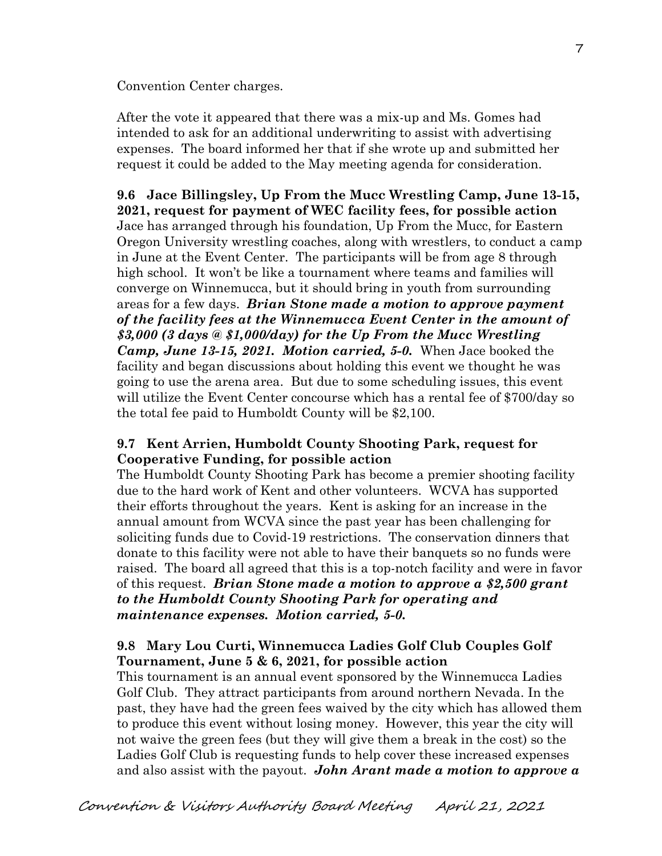Convention Center charges.

After the vote it appeared that there was a mix-up and Ms. Gomes had intended to ask for an additional underwriting to assist with advertising expenses. The board informed her that if she wrote up and submitted her request it could be added to the May meeting agenda for consideration.

**9.6 Jace Billingsley, Up From the Mucc Wrestling Camp, June 13-15, 2021, request for payment of WEC facility fees, for possible action** Jace has arranged through his foundation, Up From the Mucc, for Eastern Oregon University wrestling coaches, along with wrestlers, to conduct a camp in June at the Event Center. The participants will be from age 8 through high school. It won't be like a tournament where teams and families will converge on Winnemucca, but it should bring in youth from surrounding areas for a few days. *Brian Stone made a motion to approve payment of the facility fees at the Winnemucca Event Center in the amount of \$3,000 (3 days @ \$1,000/day) for the Up From the Mucc Wrestling Camp, June 13-15, 2021. Motion carried, 5-0.* When Jace booked the facility and began discussions about holding this event we thought he was going to use the arena area. But due to some scheduling issues, this event will utilize the Event Center concourse which has a rental fee of \$700/day so the total fee paid to Humboldt County will be \$2,100.

# **9.7 Kent Arrien, Humboldt County Shooting Park, request for Cooperative Funding, for possible action**

The Humboldt County Shooting Park has become a premier shooting facility due to the hard work of Kent and other volunteers. WCVA has supported their efforts throughout the years. Kent is asking for an increase in the annual amount from WCVA since the past year has been challenging for soliciting funds due to Covid-19 restrictions. The conservation dinners that donate to this facility were not able to have their banquets so no funds were raised. The board all agreed that this is a top-notch facility and were in favor of this request. *Brian Stone made a motion to approve a \$2,500 grant to the Humboldt County Shooting Park for operating and maintenance expenses. Motion carried, 5-0.*

# **9.8 Mary Lou Curti, Winnemucca Ladies Golf Club Couples Golf Tournament, June 5 & 6, 2021, for possible action**

This tournament is an annual event sponsored by the Winnemucca Ladies Golf Club. They attract participants from around northern Nevada. In the past, they have had the green fees waived by the city which has allowed them to produce this event without losing money. However, this year the city will not waive the green fees (but they will give them a break in the cost) so the Ladies Golf Club is requesting funds to help cover these increased expenses and also assist with the payout. *John Arant made a motion to approve a*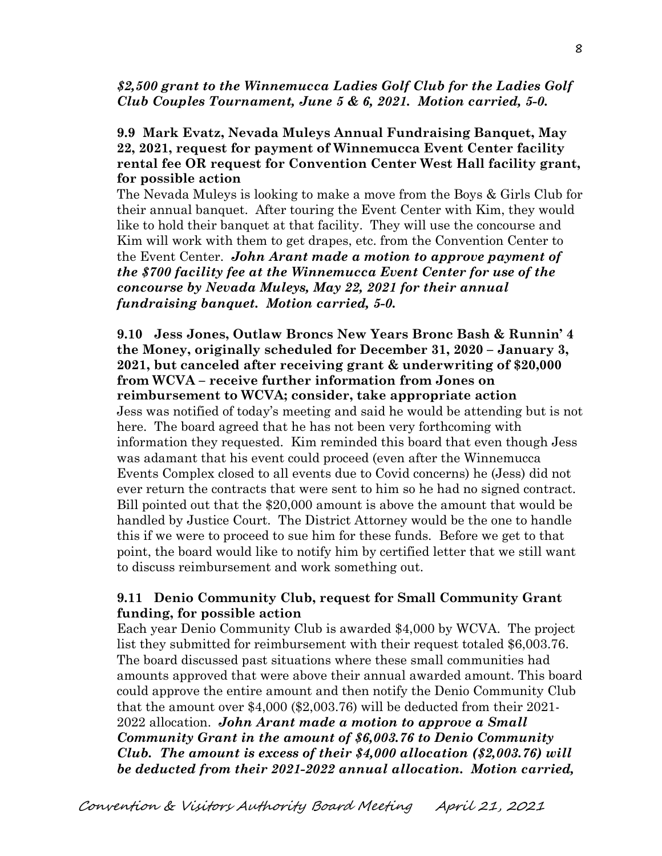#### *\$2,500 grant to the Winnemucca Ladies Golf Club for the Ladies Golf Club Couples Tournament, June 5 & 6, 2021. Motion carried, 5-0.*

### **9.9 Mark Evatz, Nevada Muleys Annual Fundraising Banquet, May 22, 2021, request for payment of Winnemucca Event Center facility rental fee OR request for Convention Center West Hall facility grant, for possible action**

The Nevada Muleys is looking to make a move from the Boys & Girls Club for their annual banquet. After touring the Event Center with Kim, they would like to hold their banquet at that facility. They will use the concourse and Kim will work with them to get drapes, etc. from the Convention Center to the Event Center. *John Arant made a motion to approve payment of the \$700 facility fee at the Winnemucca Event Center for use of the concourse by Nevada Muleys, May 22, 2021 for their annual fundraising banquet. Motion carried, 5-0.* 

**9.10 Jess Jones, Outlaw Broncs New Years Bronc Bash & Runnin' 4 the Money, originally scheduled for December 31, 2020 – January 3, 2021, but canceled after receiving grant & underwriting of \$20,000 from WCVA – receive further information from Jones on reimbursement to WCVA; consider, take appropriate action** Jess was notified of today's meeting and said he would be attending but is not here. The board agreed that he has not been very forthcoming with information they requested. Kim reminded this board that even though Jess was adamant that his event could proceed (even after the Winnemucca Events Complex closed to all events due to Covid concerns) he (Jess) did not ever return the contracts that were sent to him so he had no signed contract. Bill pointed out that the \$20,000 amount is above the amount that would be handled by Justice Court. The District Attorney would be the one to handle this if we were to proceed to sue him for these funds. Before we get to that point, the board would like to notify him by certified letter that we still want to discuss reimbursement and work something out.

### **9.11 Denio Community Club, request for Small Community Grant funding, for possible action**

Each year Denio Community Club is awarded \$4,000 by WCVA. The project list they submitted for reimbursement with their request totaled \$6,003.76. The board discussed past situations where these small communities had amounts approved that were above their annual awarded amount. This board could approve the entire amount and then notify the Denio Community Club that the amount over \$4,000 (\$2,003.76) will be deducted from their 2021- 2022 allocation. *John Arant made a motion to approve a Small Community Grant in the amount of \$6,003.76 to Denio Community Club. The amount is excess of their \$4,000 allocation (\$2,003.76) will be deducted from their 2021-2022 annual allocation. Motion carried,*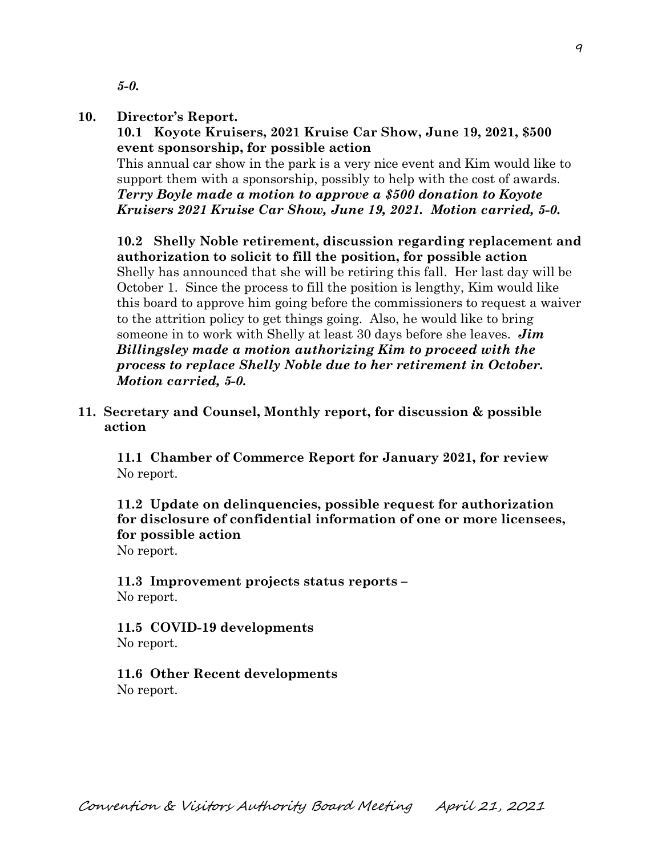*5-0.* 

#### **10. Director's Report.**

 **10.1 Koyote Kruisers, 2021 Kruise Car Show, June 19, 2021, \$500 event sponsorship, for possible action**

This annual car show in the park is a very nice event and Kim would like to support them with a sponsorship, possibly to help with the cost of awards. *Terry Boyle made a motion to approve a \$500 donation to Koyote Kruisers 2021 Kruise Car Show, June 19, 2021. Motion carried, 5-0.* 

**10.2 Shelly Noble retirement, discussion regarding replacement and authorization to solicit to fill the position, for possible action** Shelly has announced that she will be retiring this fall. Her last day will be October 1. Since the process to fill the position is lengthy, Kim would like this board to approve him going before the commissioners to request a waiver to the attrition policy to get things going. Also, he would like to bring someone in to work with Shelly at least 30 days before she leaves. *Jim Billingsley made a motion authorizing Kim to proceed with the process to replace Shelly Noble due to her retirement in October. Motion carried, 5-0.* 

**11. Secretary and Counsel, Monthly report, for discussion & possible action**

 **11.1 Chamber of Commerce Report for January 2021, for review** No report.

**11.2 Update on delinquencies, possible request for authorization for disclosure of confidential information of one or more licensees, for possible action** No report.

**11.3 Improvement projects status reports –** No report.

**11.5 COVID-19 developments** No report.

**11.6 Other Recent developments** No report.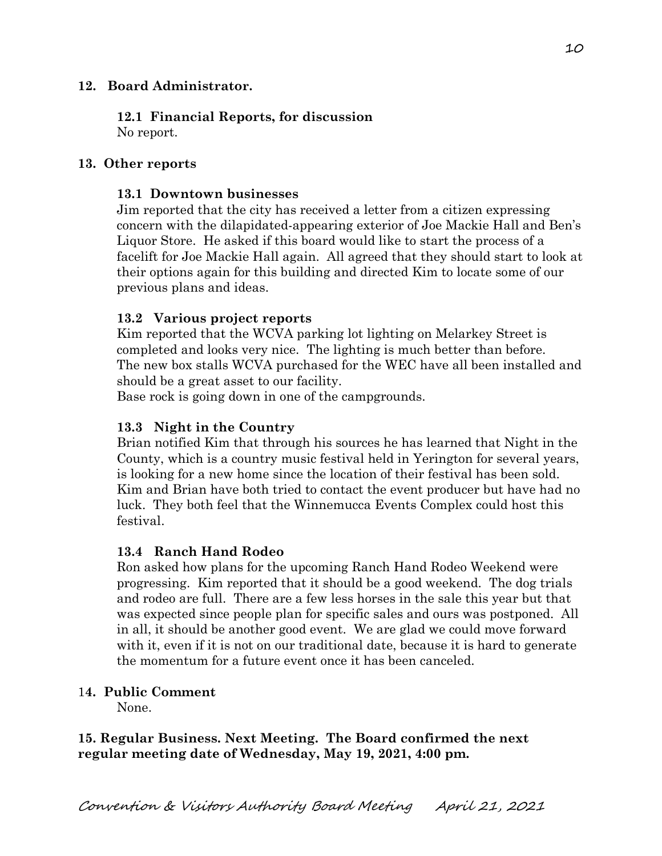## **12. Board Administrator.**

**12.1 Financial Reports, for discussion** No report.

### **13. Other reports**

### **13.1 Downtown businesses**

Jim reported that the city has received a letter from a citizen expressing concern with the dilapidated-appearing exterior of Joe Mackie Hall and Ben's Liquor Store. He asked if this board would like to start the process of a facelift for Joe Mackie Hall again. All agreed that they should start to look at their options again for this building and directed Kim to locate some of our previous plans and ideas.

### **13.2 Various project reports**

Kim reported that the WCVA parking lot lighting on Melarkey Street is completed and looks very nice. The lighting is much better than before. The new box stalls WCVA purchased for the WEC have all been installed and should be a great asset to our facility.

Base rock is going down in one of the campgrounds.

# **13.3 Night in the Country**

Brian notified Kim that through his sources he has learned that Night in the County, which is a country music festival held in Yerington for several years, is looking for a new home since the location of their festival has been sold. Kim and Brian have both tried to contact the event producer but have had no luck. They both feel that the Winnemucca Events Complex could host this festival.

## **13.4 Ranch Hand Rodeo**

Ron asked how plans for the upcoming Ranch Hand Rodeo Weekend were progressing. Kim reported that it should be a good weekend. The dog trials and rodeo are full. There are a few less horses in the sale this year but that was expected since people plan for specific sales and ours was postponed. All in all, it should be another good event. We are glad we could move forward with it, even if it is not on our traditional date, because it is hard to generate the momentum for a future event once it has been canceled.

### 1**4. Public Comment**

None.

## **15. Regular Business. Next Meeting. The Board confirmed the next regular meeting date of Wednesday, May 19, 2021, 4:00 pm.**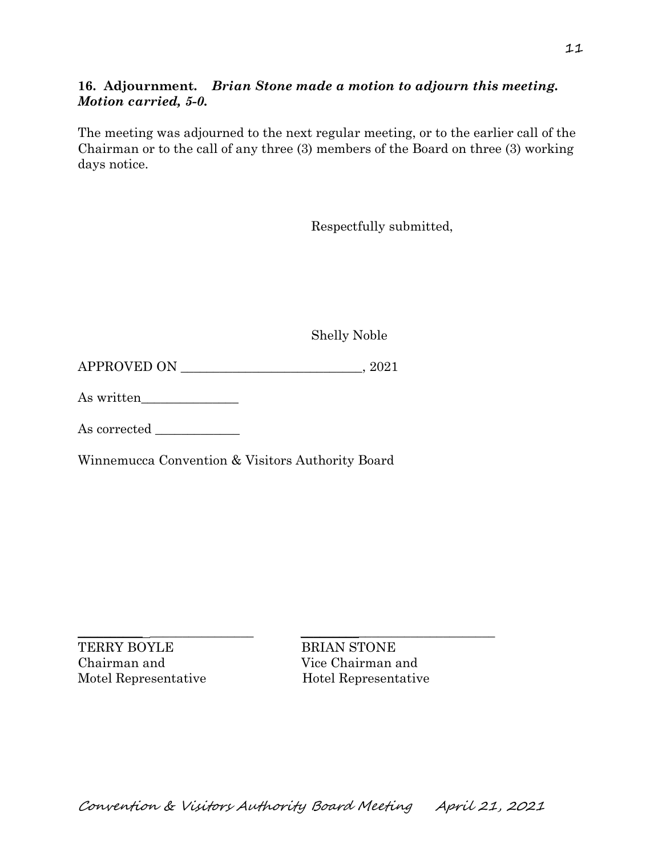# **16. Adjournment.** *Brian Stone made a motion to adjourn this meeting. Motion carried, 5-0.*

The meeting was adjourned to the next regular meeting, or to the earlier call of the Chairman or to the call of any three (3) members of the Board on three (3) working days notice.

Respectfully submitted,

Shelly Noble

APPROVED ON \_\_\_\_\_\_\_\_\_\_\_\_\_\_\_\_\_\_\_\_\_\_\_\_\_\_\_\_, 2021

As written\_\_\_\_\_\_\_\_\_\_\_\_\_\_\_

As corrected  $\_\_$ 

Winnemucca Convention & Visitors Authority Board

 $\frac{1}{2}$  ,  $\frac{1}{2}$  ,  $\frac{1}{2}$  ,  $\frac{1}{2}$  ,  $\frac{1}{2}$  ,  $\frac{1}{2}$  ,  $\frac{1}{2}$  ,  $\frac{1}{2}$  ,  $\frac{1}{2}$  ,  $\frac{1}{2}$  ,  $\frac{1}{2}$  ,  $\frac{1}{2}$  ,  $\frac{1}{2}$  ,  $\frac{1}{2}$  ,  $\frac{1}{2}$  ,  $\frac{1}{2}$  ,  $\frac{1}{2}$  ,  $\frac{1}{2}$  ,  $\frac{1$ TERRY BOYLE BRIAN STONE Chairman and Vice Chairman and Motel Representative Hotel Representative